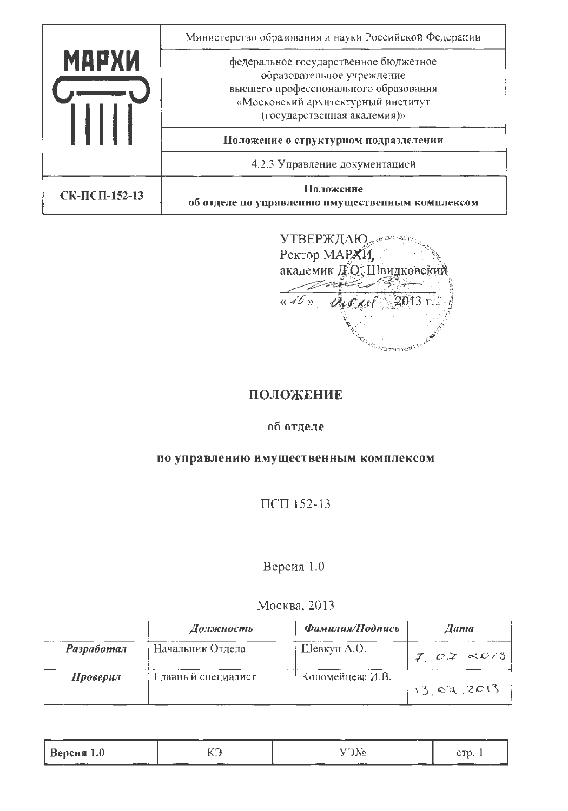|               | Министерство образования и науки Российской Федерации                                                                                                                             |
|---------------|-----------------------------------------------------------------------------------------------------------------------------------------------------------------------------------|
| <b>МАРХИ</b>  | федеральное государственное бюджетное<br>образовательное учреждение<br>высшего профессионального образования<br>«Московский архитектурный институт<br>(государственная академия)» |
|               | Положение о структурном подразделении                                                                                                                                             |
|               | 4.2.3 Управление документацией                                                                                                                                                    |
| СК-ПСП-152-13 | Положение<br>об отделе по управлению нмущественным комплексом                                                                                                                     |

**УТВЕРЖДАЮ** Ректор МАРХИ, академик Д.О., Швидковский mill B  $\sqrt{45y}$ avene 2013 г. And Contained Branch

# ПОЛОЖЕНИЕ

### об отделе

### по управлению имущественным комплексом

ПСП 152-13

# Версия 1.0

## Москва, 2013

|                   | Должность          | Фамилия/Подпись  | $A$ ama            |
|-------------------|--------------------|------------------|--------------------|
| <b>Разработал</b> | Начальник Отдела   | Шевкун А.О.      | $7.07 \times 0.13$ |
| Проверил          | Главный специалист | Коломейцева И.В. | 13.04.2013         |

|                                           |                      | -----                   | --         |
|-------------------------------------------|----------------------|-------------------------|------------|
| $Bepc$ ия 1.0<br>$\overline{\phantom{a}}$ | $\sim$<br>.<br>_____ | ז שי<br>---<br>-------- | $\sim$ THA |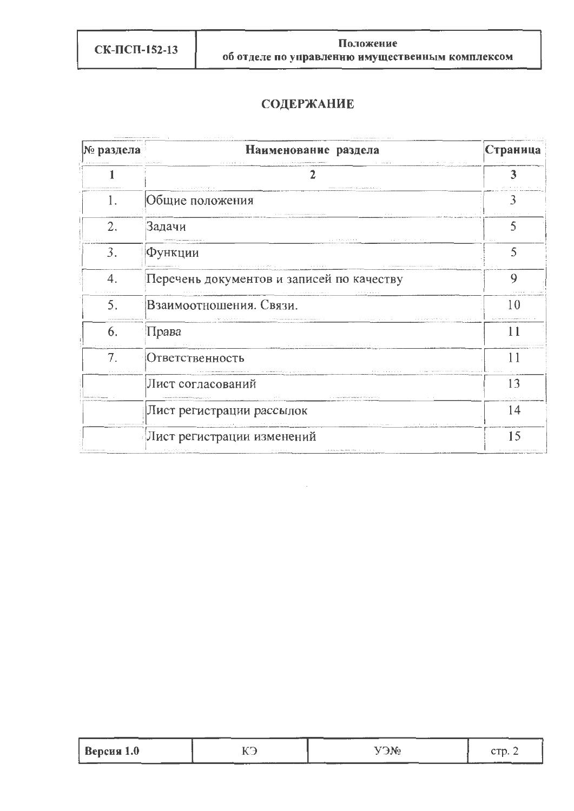# **СОДЕРЖАНИЕ**

| № раздела | Наименование раздела                                                                | Страница                 |
|-----------|-------------------------------------------------------------------------------------|--------------------------|
|           |                                                                                     |                          |
| Ī.        | Общие положения                                                                     |                          |
| 2.        | Задачи                                                                              | 5                        |
| 3.        | Функции                                                                             | 5                        |
| 4.        | the companies are a series of the com-<br>Перечень документов и записей по качеству | 9                        |
| 5.        | .<br>.<br>Взаимоотношения. Связи.                                                   | 10                       |
| 6.        | and a state that it that the<br>Права                                               |                          |
| 7.        | Ответственность                                                                     |                          |
|           | .<br>Лист согласований                                                              | 13                       |
|           | Лист регистрации рассылок                                                           | <b>CALCULATION</b><br>14 |
|           | and the company's<br>Лист регистрации изменений                                     | 15                       |

|            | $\sim$ FeV. To $\sim$ | <b>TH</b> |
|------------|-----------------------|-----------|
| Версия 1.0 | .                     | .         |
|            |                       |           |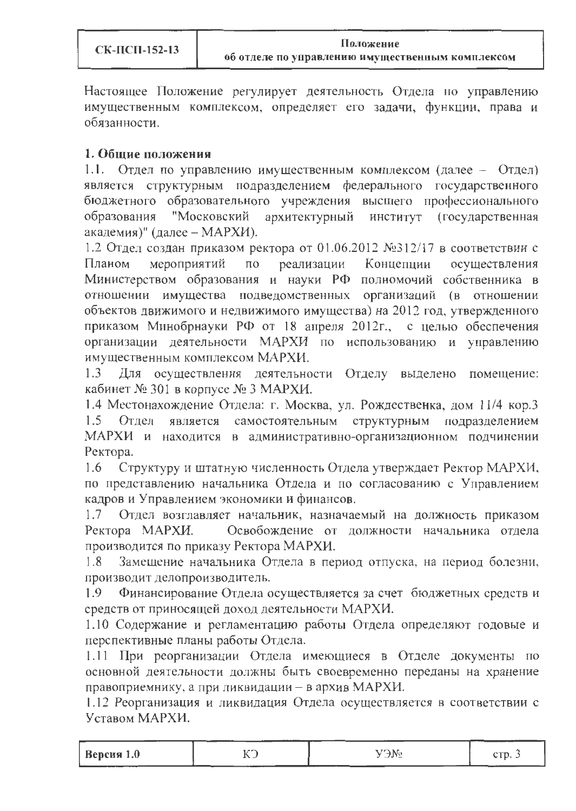Настоящее Положение регулирует деятельность Отдела по управлению имущественным комплексом, определяет его задачи, функции, права и обязанности.

### 1. Общие положения

1.1. Отдел по управлению имущественным комплексом (далее - Отдел) является структурным подразделением федерального государственного бюджетного образовательного учреждения высшего профессионального образования "Московский архитектурный институт (государственная академия)" (далее – МАРХИ).

1.2 Отдел создан приказом ректора от 01.06.2012 №312/17 в соответствии с реализации Концепции мероприятий  $\overline{10}$ Планом осуществления Министерством образования и науки РФ полномочий собственника в отношении имущества подведомственных организаций (в отношении объектов движимого и недвижимого имущества) на 2012 год, утвержденного приказом Минобрнауки РФ от 18 апреля 2012г., с целью обеспечения организации деятельности МАРХИ по использованию и управлению имущественным комплексом МАРХИ.

Для осуществления деятельности Отделу выделено помещение:  $1.3$ кабинет № 301 в корпусе № 3 МАРХИ.

1.4 Местонахождение Отдела: г. Москва, ул. Рождественка, дом 11/4 кор.3 Отдел является самостоятельным структурным подразделением  $1.5$ МАРХИ и находится в административно-организационном подчинении Ректора.

1.6 Структуру и штатную численность Отдела утверждает Ректор МАРХИ, по представлению начальника Отдела и по согласованию с Управлением кадров и Управлением экономики и финансов.

Отдел возглавляет начальник, назначаемый на должность приказом  $1.7$ Освобождение от должности начальника отдела Ректора МАРХИ. производится по приказу Ректора МАРХИ.

 $1.8$ Замещение начальника Отдела в период отпуска, на период болезни, производит делопроизводитель.

Финансирование Отдела осуществляется за счет бюджетных средств и 1.9 средств от приносящей доход деятельности МАРХИ.

1.10 Содержание и регламентацию работы Отдела определяют годовые и перспективные планы работы Отдела.

1.11 При реорганизации Отдела имеющиеся в Отделе документы по основной деятельности должны быть своевременно переданы на хранение правоприемнику, а при ликвидации - в архив МАРХИ.

1.12 Реорганизация и ликвидация Отдела осуществляется в соответствии с Уставом МАРХИ.

| Версия 1.0<br>$\alpha$ Times<br>.<br>. <i>. .</i><br>$\tilde{\phantom{a}}$<br>-<br>- - |  |  | $17.8\text{N}$ |  |
|----------------------------------------------------------------------------------------|--|--|----------------|--|
|----------------------------------------------------------------------------------------|--|--|----------------|--|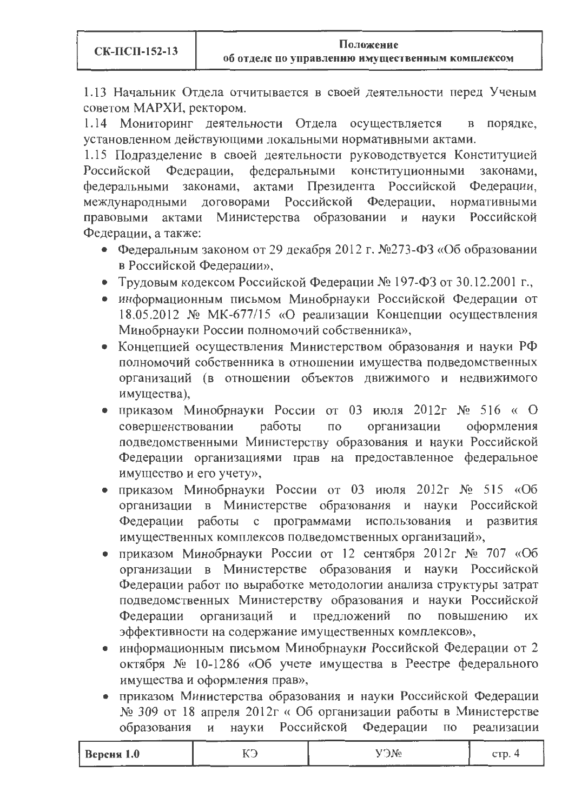1.13 Начальник Отдела отчитывается в своей деятельности перед Ученым советом МАРХИ, ректором.

1.14 Мониторинг деятельности Отдела осуществляется порядке,  $\bf{B}$ установленном действующими локальными нормативными актами.

1.15 Подразделение в своей деятельности руководствуется Конституцией Федерации, федеральными конституционными Российской законами, законами, актами Президента Российской Федерации, федеральными Российской Федерации, нормативными международными договорами правовыми актами Министерства образовании и науки Российской Федерации, а также:

- Федеральным законом от 29 декабря 2012 г. №273-ФЗ «Об образовании в Российской Федерации»,
- Трудовым кодексом Российской Федерации № 197-ФЗ от 30.12.2001 г.,
- информационным письмом Минобрнауки Российской Федерации от 18.05.2012 № МК-677/15 «О реализации Концепции осуществления Минобрнауки России полномочий собственника»,
- Концепцией осуществления Министерством образования и науки РФ полномочий собственника в отношении имущества подведомственных организаций (в отношении объектов движимого и недвижимого имущества),
- приказом Минобрнауки России от 03 июля 2012г  $N_2$  516 « О совершенствовании работы  $\Pi$ <sup>O</sup> организации оформления подведомственными Министерству образования и науки Российской Федерации организациями прав на предоставленное федеральное имущество и его учету»,
- приказом Минобрнауки России от 03 июля 2012г № 515 «Об организации в Министерстве образования и науки Российской Федерации работы с программами использования и развития имущественных комплексов подведомственных организаций»,
- приказом Минобрнауки России от 12 сентября 2012г  $N_2$  707 «Об организации в Министерстве образования и науки Российской Федерации работ по выработке методологии анализа структуры затрат подведомственных Министерству образования и науки Российской организаций и предложений повышению Федерации  $\overline{a}$ их эффективности на содержание имущественных комплексов»,
- информационным письмом Минобрнауки Российской Федерации от 2 октября № 10-1286 «Об учете имущества в Реестре федерального имущества и оформления прав»,
- приказом Министерства образования и науки Российской Федерации № 309 от 18 апреля 2012г «Об организации работы в Министерстве образования  $\mathbf{M}$ науки Российской Федерации  $\overline{10}$ реализации

| Версня 1.0 | . . | A No<br>$-$ | CTD. |
|------------|-----|-------------|------|
|            |     | _____       |      |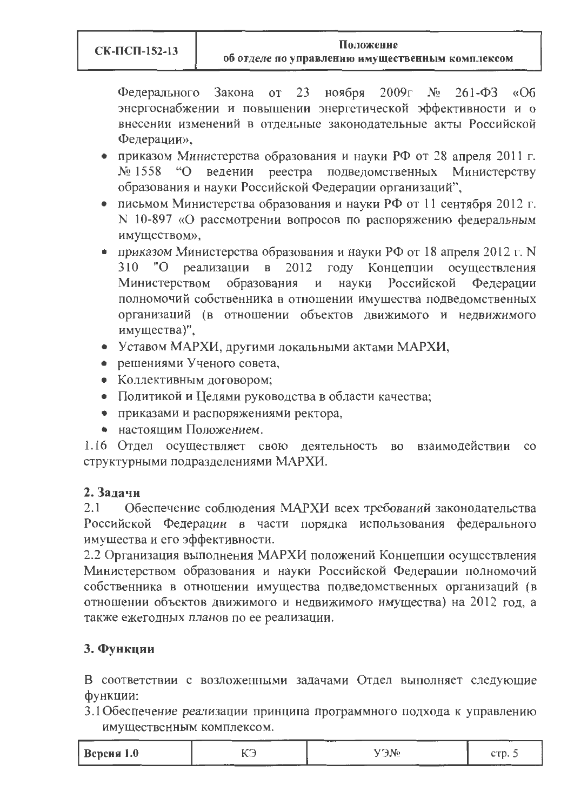об отделе по управлению имущественным комплексом

Закона от 23 ноября  $2009<sub>l</sub>$  No  $261 - \Phi$ 3 «Об Федерального энергоснабжении и повышении энергетической эффективности и о внесении изменений в отдельные законодательные акты Российской Федерации».

- приказом Министерства образования и науки РФ от 28 апреля 2011 г. № 1558 "О ведении реестра подведомственных Министерству образования и науки Российской Федерации организаций",
- письмом Министерства образования и науки РФ от 11 сентября 2012 г. N 10-897 «О рассмотрении вопросов по распоряжению федеральным имуществом»,
- приказом Министерства образования и науки РФ от 18 апреля 2012 г. N 310 "О реализации в 2012 году Концепции осуществления образования науки Российской Федерации Министерством  $H$ полномочий собственника в отношении имущества подведомственных организаций (в отношении объектов движимого и недвижимого имущества)",
- Уставом МАРХИ, другими локальными актами МАРХИ,
- решениями Ученого совета,
- Коллективным договором;
- Политикой и Целями руководства в области качества;
- приказами и распоряжениями ректора,
- настоящим Положением.

1.16 Отдел осуществляет свою деятельность во взаимодействии  $_{\rm CO}$ структурными подразделениями МАРХИ.

### 2. Залачи

 $2.1$ Обеспечение соблюдения МАРХИ всех требований законодательства Российской Федерации в части порядка использования федерального имущества и его эффективности.

2.2 Организация выполнения МАРХИ положений Концепции осуществления Министерством образования и науки Российской Федерации полномочий собственника в отношении имущества подведомственных организаций (в отношении объектов движимого и недвижимого имущества) на 2012 год, а также ежегодных планов по ее реализации.

## 3. Функции

В соответствии с возложенными задачами Отдел выполняет следующие функции:

3.1 Обеспечение реализации принципа программного подхода к управлению имущественным комплексом.

| Версия 1.0<br>-- |
|------------------|
|------------------|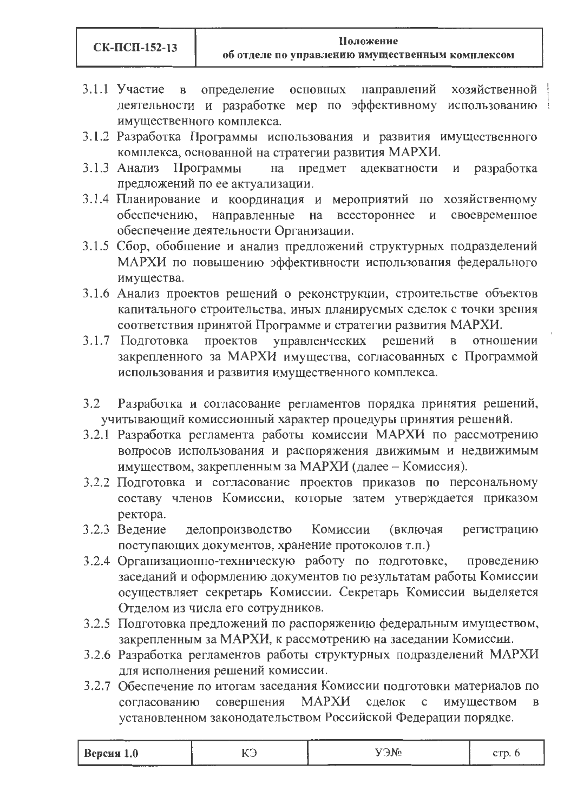3.1.1 Участие в определение основных направлений хозяйственной деятельности и разработке мер по эффективному использованию имущественного комплекса.

- 3.1.2 Разработка Программы использования и развития имущественного комплекса, основанной на стратегии развития МАРХИ.
- предмет адекватности и разработка 3.1.3 Анализ Программы на предложений по ее актуализации.
- 3.1.4 Планирование и координация и мероприятий по хозяйственному обеспечению, направленные на всестороннее и своевременное обеспечение деятельности Организации.
- 3.1.5 Сбор, обобщение и анализ предложений структурных подразделений МАРХИ по повышению эффективности использования федерального имущества.
- 3.1.6 Анализ проектов решений о реконструкции, строительстве объектов капитального строительства, иных планируемых сделок с точки зрения соответствия принятой Программе и стратегии развития МАРХИ.
- проектов управленческих решений в отношении 3.1.7 Подготовка закрепленного за МАРХИ имущества, согласованных с Программой использования и развития имущественного комплекса.
- $3.2$ Разработка и согласование регламентов порядка принятия решений, учитывающий комиссионный характер процедуры принятия решений.
- 3.2.1 Разработка регламента работы комиссии МАРХИ по рассмотрению вопросов использования и распоряжения движимым и недвижимым имуществом, закрепленным за МАРХИ (далее - Комиссия).
- 3.2.2 Подготовка и согласование проектов приказов по персональному составу членов Комиссии, которые затем утверждается приказом ректора.
- Комиссии 3.2.3 Ведение делопроизводство (включая регистрацию поступающих документов, хранение протоколов т.п.)
- 3.2.4 Организационно-техническую работу по подготовке, проведению заседаний и оформлению документов по результатам работы Комиссии осуществляет секретарь Комиссии. Секретарь Комиссии выделяется Отделом из числа его сотрудников.
- 3.2.5 Подготовка предложений по распоряжению федеральным имуществом, закрепленным за МАРХИ, к рассмотрению на заседании Комиссии.
- 3.2.6 Разработка регламентов работы структурных подразделений МАРХИ для исполнения решений комиссии.
- 3.2.7 Обеспечение по итогам заседания Комиссии подготовки материалов по согласованию совершения МАРХИ сделок имуществом  $\mathbf{c}$  $\mathbf{B}$ установленном законодательством Российской Федерации порядке.

| Версия $1.0$<br>----- | $\sim$ $\sim$ $\sim$ $\sim$ $\sim$<br>d Nr<br>$\sim$ $\sim$ $\sim$ | <b>CURSO</b><br>. |
|-----------------------|--------------------------------------------------------------------|-------------------|
|-----------------------|--------------------------------------------------------------------|-------------------|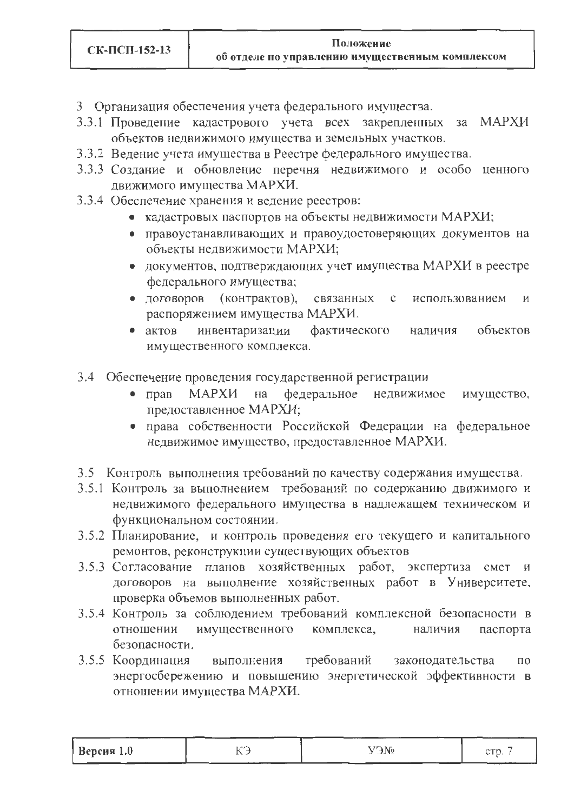- 3 Организация обеспечения учета федерального имущества.
- 3.3.1 Проведение кадастрового учета всех закрепленных за МАРХИ объектов недвижимого имущества и земельных участков.
- 3.3.2 Ведение учета имущества в Реестре федерального имущества.
- 3.3.3 Создание и обновление перечня недвижимого и особо ценного движимого имущества МАРХИ.
- 3.3.4 Обеспечение хранения и ведение реестров:
	- кадастровых паспортов на объекты недвижимости МАРХИ;
	- правоустанавливающих и правоудостоверяющих документов на объекты недвижимости МАРХИ;
	- документов, подтверждающих учет имущества МАРХИ в реестре федерального имущества;
	- (контрактов), • договоров связанных  $\mathbf{C}$ использованием И распоряжением имущества МАРХИ.
	- $\bullet$  aktob инвентаризации фактического объектов наличия имущественного комплекса.
- 3.4 Обеспечение проведения государственной регистрации
	- МАРХИ федеральное недвижимое  $\bullet$  прав на имущество, предоставленное МАРХИ;
	- права собственности Российской Федерации на федеральное недвижимое имущество, предоставленное МАРХИ.
- 3.5 Контроль выполнения требований по качеству содержания имущества.
- 3.5.1 Контроль за выполнением требований по содержанию движимого и недвижимого федерального имущества в надлежащем техническом и функциональном состоянии.
- 3.5.2 Планирование, и контроль проведения его текущего и капитального ремонтов, реконструкции существующих объектов
- 3.5.3 Согласование планов хозяйственных работ, экспертиза смет и договоров на выполнение хозяйственных работ в Университете, проверка объемов выполненных работ.
- 3.5.4 Контроль за соблюдением требований комплексной безопасности в имущественного комплекса, отношении наличия паспорта безопасности.
- требований 3.5.5 Координация выполнения законодательства  $\Pi 0$ энергосбережению и повышению энергетической эффективности в отношении имущества МАРХИ.

| Версия 1.0 | . | $2M$ C | .<br><b>OTA</b><br>$\mathbf{L}$ |
|------------|---|--------|---------------------------------|
|------------|---|--------|---------------------------------|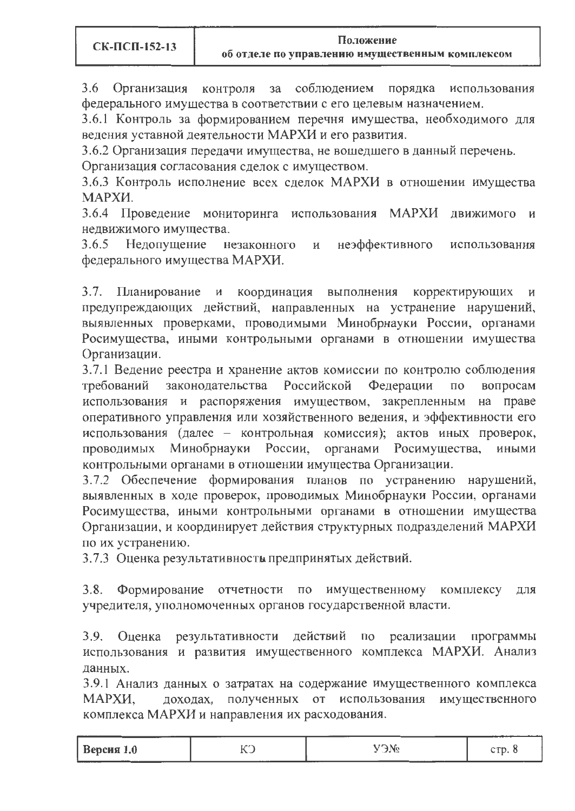3.6 Организация контроля за соблюдением порядка использования федерального имущества в соответствии с его целевым назначением.

3.6.1 Контроль за формированием перечня имущества, необходимого для ведения уставной деятельности МАРХИ и его развития.

3.6.2 Организация передачи имущества, не вошедшего в данный перечень.

Организация согласования сделок с имуществом.

3.6.3 Контроль исполнение всех сделок МАРХИ в отношении имущества МАРХИ.

3.6.4 Проведение мониторинга использования МАРХИ движимого и недвижимого имущества.

неэффективного использования  $3.6.5$ Недопущение незаконного  $\mathbf{M}$ федерального имущества МАРХИ.

3.7. Планирование и координация выполнения корректирующих И предупреждающих действий, направленных на устранение нарушений, выявленных проверками, проводимыми Минобрнауки России, органами Росимущества, иными контрольными органами в отношении имущества Организации.

3.7.1 Ведение реестра и хранение актов комиссии по контролю соблюдения Российской Федерации требований законодательства  $\Pi$ O вопросам использования и распоряжения имуществом, закрепленным на праве оперативного управления или хозяйственного ведения, и эффективности его использования (далее - контрольная комиссия); актов иных проверок, проводимых Минобрнауки России, органами Росимущества, иными контрольными органами в отношении имущества Организации.

3.7.2 Обеспечение формирования планов по устранению нарушений, выявленных в ходе проверок, проводимых Минобрнауки России, органами Росимущества, иными контрольными органами в отношении имущества Организации, и координирует действия структурных подразделений МАРХИ по их устранению.

3.7.3 Оценка результативность предпринятых действий.

 $3.8.$ по имущественному комплексу для Формирование отчетности учредителя, уполномоченных органов государственной власти.

результативности действий по  $3.9.$ реализации программы Оценка использования и развития имущественного комплекса МАРХИ. Анализ данных.

3.9.1 Анализ данных о затратах на содержание имущественного комплекса полученных от использования имущественного МАРХИ, доходах, комплекса МАРХИ и направления их расходования.

| Версия 1.0 | , <b>,</b> ,<br>$\overline{ }$<br>. | ----<br>----<br>. | ٠m |
|------------|-------------------------------------|-------------------|----|
| ---------  |                                     |                   |    |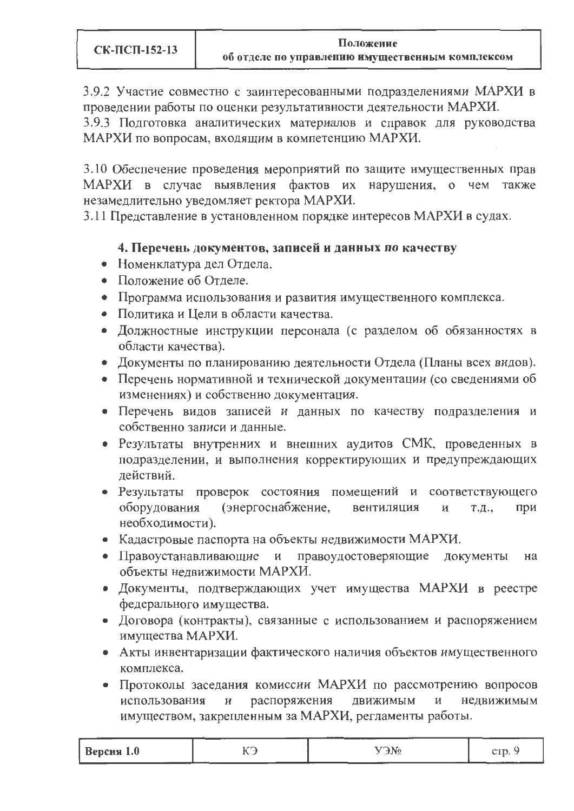3.9.2 Участие совместно с заинтересованными подразделениями МАРХИ в проведении работы по оценки результативности деятельности МАРХИ.

3.9.3 Подготовка аналитических материалов и справок для руководства МАРХИ по вопросам, входящим в компетенцию МАРХИ.

3.10 Обеспечение проведения мероприятий по защите имущественных прав МАРХИ в случае выявления фактов их нарушения, о чем также незамедлительно уведомляет ректора МАРХИ.

3.11 Представление в установленном порядке интересов МАРХИ в судах.

### 4. Перечень документов, записей и данных по качеству

- Номенклатура дел Отдела.
- Положение об Отделе.
- Программа использования и развития имущественного комплекса.
- Политика и Цели в области качества.
- Должностные инструкции персонала (с разделом об обязанностях в области качества).
- Документы по планированию деятельности Отдела (Планы всех видов).
- Перечень нормативной и технической документации (со сведениями об изменениях) и собственно документация.
- Перечень видов записей и данных по качеству подразделения и собственно записи и данные.
- Результаты внутренних и внешних аудитов СМК, проведенных в подразделении, и выполнения корректирующих и предупреждающих действий.
- Результаты проверок состояния помещений и соответствующего оборудования (энергоснабжение, вентиляция И  $T.H.$ при необходимости).
- Кадастровые паспорта на объекты недвижимости МАРХИ.
- Правоустанавливающие и правоудостоверяющие документы на объекты недвижимости МАРХИ.
- Документы, подтверждающих учет имущества МАРХИ в реестре федерального имущества.
- Договора (контракты), связанные с использованием и распоряжением имущества МАРХИ.
- Акты инвентаризации фактического наличия объектов имущественного комплекса.
- Протоколы заседания комиссии МАРХИ по рассмотрению вопросов распоряжения недвижимым использования движимым И И имуществом, закрепленным за МАРХИ, регламенты работы.

| <b>Версия</b> 1.0<br>-------- |  | $\alpha$<br>≞ا الوالي.<br><b>Service Service</b> | <b>ANTA</b><br>シェレー<br>------------ |
|-------------------------------|--|--------------------------------------------------|-------------------------------------|
|-------------------------------|--|--------------------------------------------------|-------------------------------------|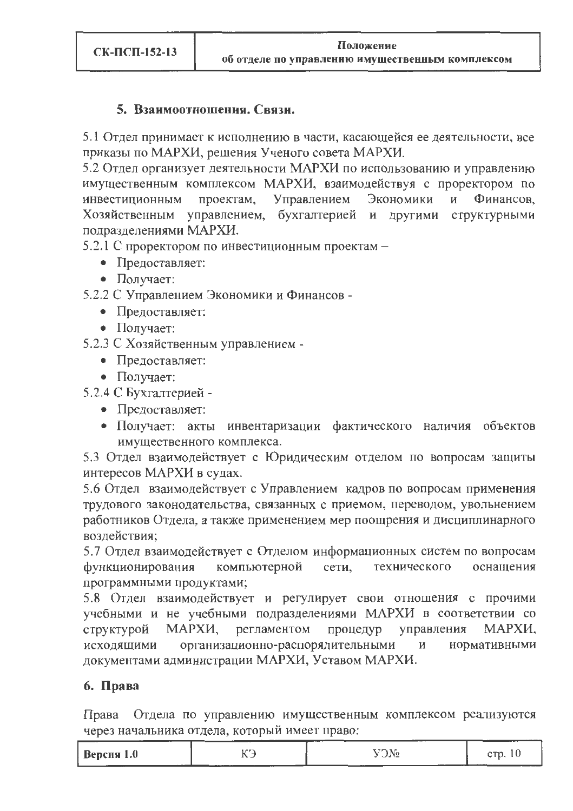### 5. Взаимоотношения. Связи.

5.1 Отдел принимает к исполнению в части, касающейся ее деятельности, все приказы по МАРХИ, решения Ученого совета МАРХИ.

5.2 Отдел организует деятельности МАРХИ по использованию и управлению имущественным комплексом МАРХИ, взаимодействуя с проректором по инвестиционным проектам, Управлением Экономики И Финансов. Хозяйственным управлением, бухгалтерией и другими структурными подразделениями МАРХИ.

5.2.1 С проректором по инвестиционным проектам -

- Предоставляет:
- Получает:

5.2.2 С Управлением Экономики и Финансов -

- Предоставляет:
- Получает:

5.2.3 С Хозяйственным управлением -

- Предоставляет:
- $\bullet$  Получает:

5.2.4 С Бухгалтерией -

- Предоставляет:
- Получает: акты инвентаризации фактического наличия объектов имущественного комплекса.

5.3 Отдел взаимодействует с Юридическим отделом по вопросам защиты интересов МАРХИ в судах.

5.6 Отдел взаимодействует с Управлением кадров по вопросам применения трудового законодательства, связанных с приемом, переводом, увольнением работников Отдела, а также применением мер поощрения и дисциплинарного воздействия:

5.7 Отдел взаимодействует с Отделом информационных систем по вопросам функционирования компьютерной сети, технического оснашения программными продуктами;

5.8 Отдел взаимодействует и регулирует свои отношения с прочими учебными и не учебными подразделениями МАРХИ в соответствии со МАРХИ, регламентом процедур управления МАРХИ, структурой исходящими организационно-распорядительными нормативными И документами администрации МАРХИ, Уставом МАРХИ.

### 6. Права

Права Отдела по управлению имущественным комплексом реализуются через начальника отдела, который имеет право:

| $Be$ рсня 1.0 | ------- | --------<br>$T\rightarrow N_0$<br>---<br>--- | CL 77.45<br>____ |
|---------------|---------|----------------------------------------------|------------------|
|---------------|---------|----------------------------------------------|------------------|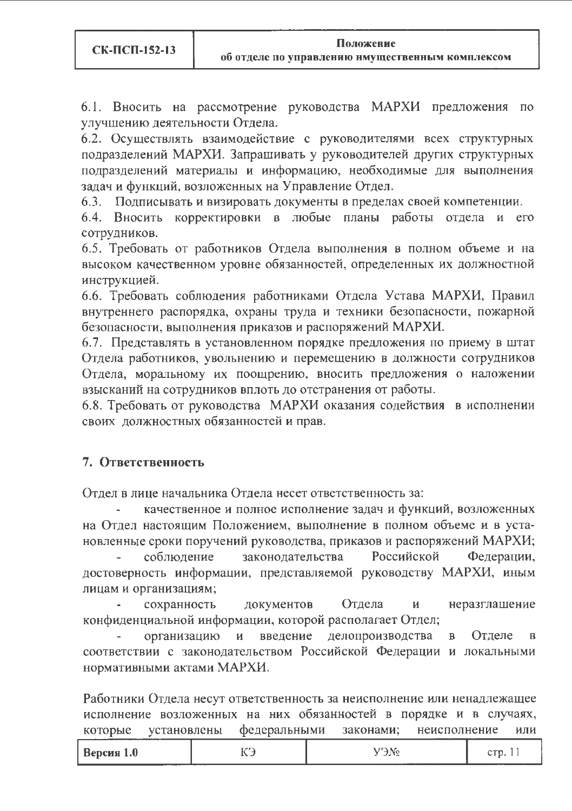6.1. Вносить на рассмотрение руководства МАРХИ предложения  $\Pi$ <sup>O</sup> улучшению деятельности Отдела.

6.2. Осуществлять взаимодействие с руководителями всех структурных подразделений МАРХИ. Запрашивать у руководителей других структурных подразделений материалы и информацию, необходимые для выполнения задач и функций, возложенных на Управление Отдел.

6.3. Подписывать и визировать документы в пределах своей компетенции.

корректировки в любые планы работы отдела и 6.4. Вносить  $e_{\Gamma}$ сотрудников.

6.5. Требовать от работников Отдела выполнения в полном объеме и на высоком качественном уровне обязанностей, определенных их должностной инструкцией.

6.6. Требовать соблюдения работниками Отдела Устава МАРХИ, Правил внутреннего распорядка, охраны труда и техники безопасности, пожарной безопасности, выполнения приказов и распоряжений МАРХИ.

6.7. Представлять в установленном порядке предложения по приему в штат Отдела работников, увольнению и перемещению в должности сотрудников Отдела, моральному их поощрению, вносить предложения о наложении взысканий на сотрудников вплоть до отстранения от работы.

6.8. Требовать от руководства МАРХИ оказания содействия в исполнении своих должностных обязанностей и прав.

### 7. Ответственность

Отдел в лице начальника Отдела несет ответственность за:

качественное и полное исполнение задач и функций, возложенных на Отдел настоящим Положением, выполнение в полном объеме и в установленные сроки поручений руководства, приказов и распоряжений МАРХИ;

законодательства Российской Федерации, соблюдение достоверность информации, представляемой руководству МАРХИ, иным лицам и организациям;

документов Отдела сохранность И неразглашение конфиденциальной информации, которой располагает Отдел;

введение делопроизводства организацию  $\mathbf{M}$ Отделе  $\mathbf{B}$  $\, {\bf B}$ соответствии с законодательством Российской Федерации и локальными нормативными актами МАРХИ.

Работники Отдела несут ответственность за неисполнение или ненадлежащее исполнение возложенных на них обязанностей в порядке и в случаях, федеральными законами; неисполнение которые установлены ИЛИ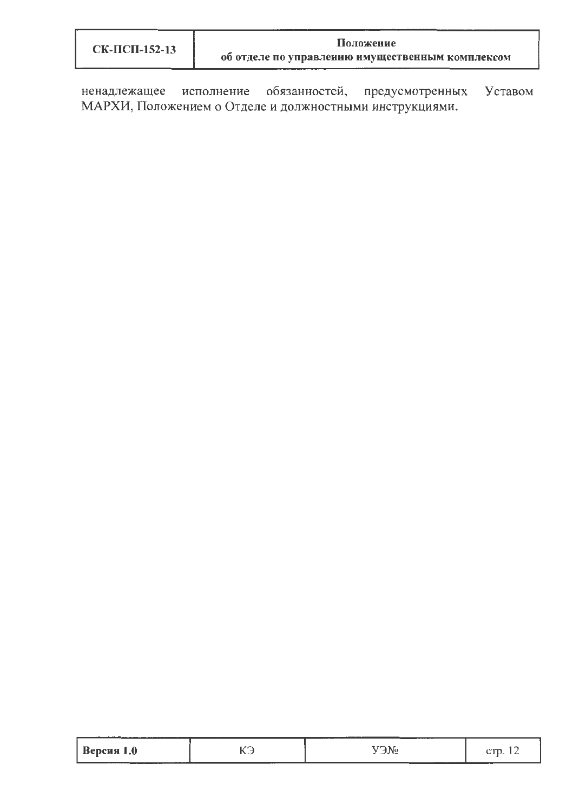| СК-ПСП-152-13 | Положение                                        |  |  |  |  |
|---------------|--------------------------------------------------|--|--|--|--|
|               | об отделе по управлению имущественным комплексом |  |  |  |  |

ненадлежащее исполнение обязанностей, предусмотренных Уставом МАРХИ, Положением о Отделе и должностными инструкциями.

| Версия 1.0 | . | $\sim$<br>_____________ |  |
|------------|---|-------------------------|--|
|------------|---|-------------------------|--|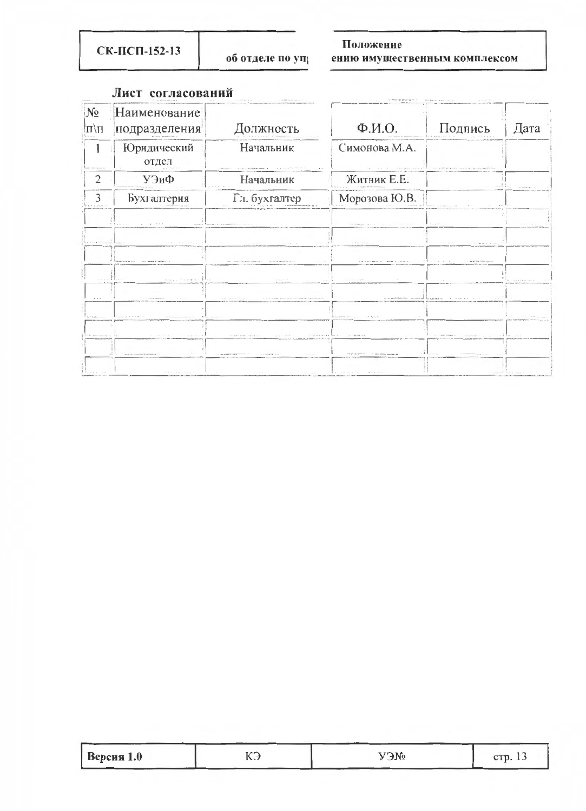СК-ПСП-152-13

об отделе по упр

### Положение

ению имущественным комплексом

| $N_2$<br> Ц/Ш                    | Наименование<br>подразделения                                                  | <b>ГОЛЖНОСТЬ</b>                                                                                                                                                                                                                            | $\Phi$ . <i>M.O.</i>                                         | Подпись                                                                                                                                                                                                                        | Дата      |
|----------------------------------|--------------------------------------------------------------------------------|---------------------------------------------------------------------------------------------------------------------------------------------------------------------------------------------------------------------------------------------|--------------------------------------------------------------|--------------------------------------------------------------------------------------------------------------------------------------------------------------------------------------------------------------------------------|-----------|
|                                  | Юридический<br>отдел                                                           | Начальник<br>The commission of the participant and commission of the commission of the commission of the commission of the commission of the commission of the commission of the commission of the commission of the commission of the comm | Симонова М.А.                                                | A  The the country of the field of the control of the control of the control of the control of the control of the control of the control of the control of the control of the control of the control of the control of the     |           |
| 2                                | УЭиФ                                                                           | Начальник                                                                                                                                                                                                                                   | Житник Е.Е.                                                  |                                                                                                                                                                                                                                | indubble. |
|                                  | Бухгалтерия                                                                    | Гл. бухгалтер                                                                                                                                                                                                                               | Морозова Ю.В.                                                |                                                                                                                                                                                                                                |           |
|                                  | $1.6 +  +$<br>$\cdots \qquad \qquad \cdots \qquad \qquad \cdots \qquad \qquad$ | <b>CONTRACT all a simplements of the first art at</b>                                                                                                                                                                                       | transmitted as a series of the first state when              | <b>1</b>                                                                                                                                                                                                                       |           |
|                                  | $1.4 - 1.1 - 1.1 - 1.1 - 1.7$                                                  | contractor and a                                                                                                                                                                                                                            | I distances a<br>color and                                   | $9 - 19 - 19 - 16$                                                                                                                                                                                                             |           |
|                                  | O BESERVATION OF A CONTRAMINATION OF                                           | $-1 + 1 - 1$<br>A RE A LEASTERN ANDER FOR ENTIRE 21 10110010900 PAGE FALLOW A                                                                                                                                                               | continuations of communicated values of the proof of the fit | Loan Fifty Foreignight                                                                                                                                                                                                         |           |
|                                  | company the company file.                                                      | 1.1.1.1.1.1                                                                                                                                                                                                                                 | <b>ALCOHOL: PRINTER</b><br>$-24.141$                         |                                                                                                                                                                                                                                |           |
| $\cdots$                         | a contenument<br>$-1$ $-1$                                                     | continued at 5.50 p.m.                                                                                                                                                                                                                      |                                                              | a accessorer community and states and a state of the community                                                                                                                                                                 |           |
| $x_1 x_1 x_2 x_3 x_4 \ldots x_n$ | and a state and                                                                |                                                                                                                                                                                                                                             | management of the court family                               |                                                                                                                                                                                                                                |           |
|                                  | of the company's com-                                                          | the property of the community of the community of the com-<br>A LAY ENDS ENTERED TAP LIVE                                                                                                                                                   | and the control of                                           | THE COMPENSATION CONTINUES INTO THE RESIDENCE OF A RESIDENCE OF A RESIDENCE OF A RESIDENCE OF A RESIDENCE OF A RESIDENCE OF A RESIDENCE OF A RESIDENCE OF A RESIDENCE OF A RESIDENCE OF A RESIDENCE OF A RESIDENCE OF A RESIDE |           |
|                                  | MARKETHERS AVANABLE !!                                                         | THE R. LEWIS CO., LANSING MICH.<br>and the Winter Box Winter and                                                                                                                                                                            | THE STATE WAY IT<br>The course assists. No contraction       | $-1$ . $-1$ .<br>I TURKWARE WITH                                                                                                                                                                                               |           |
|                                  | <b>RAILEY FREE</b>                                                             | <b>CONTRACTOR</b><br>and the country of the coun-<br>College College                                                                                                                                                                        | THE R. P. LEWIS CO., LANSING, MICH.                          |                                                                                                                                                                                                                                |           |

### Лист согласований

| Версия 1.0 | $\sim$ | ____<br>VONO | CTD. $13$ |
|------------|--------|--------------|-----------|
|            |        |              |           |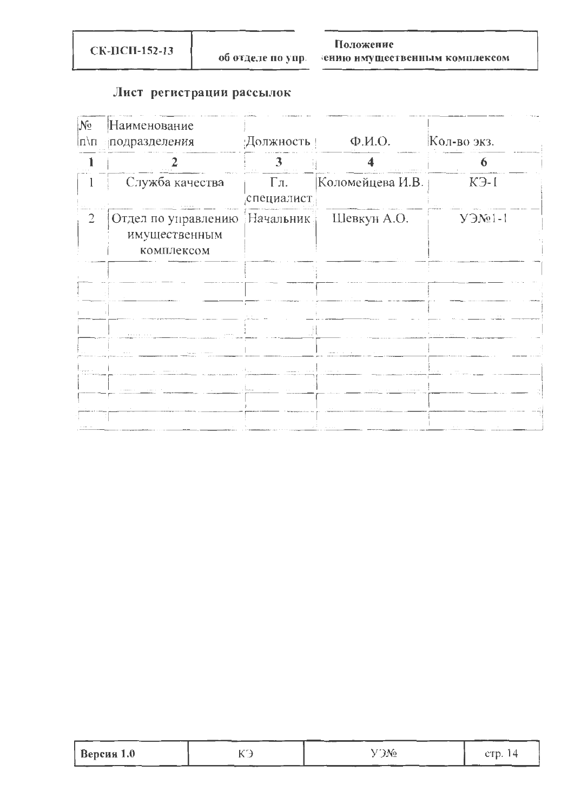СК-ПСП-152-13

### Положение

ению имущественным комплексом

# Лист регистрации рассылок

| $N_2$<br>Iл\п  | Наименование<br>подразделения                                | Должность                           | $\Phi$ . <i>M.O.</i>       | Кол-во экз. |
|----------------|--------------------------------------------------------------|-------------------------------------|----------------------------|-------------|
|                |                                                              | 3 <sup>1</sup>                      |                            | D           |
|                | Служба качества                                              | $\Gamma$ л.<br>специалист.          | Коломейцева И.В.           | $K3-1$      |
| $\overline{2}$ | Отдел по управлению Начальник<br>имущественным<br>комплексом |                                     | Шевкун А.О.                | $Y 3N2$ l-l |
|                |                                                              |                                     |                            |             |
|                |                                                              |                                     |                            |             |
|                | The Committee of the Committee<br>and the common             |                                     | comment of the comment     | .           |
|                |                                                              | o kale<br>and the second company of | and the con-               | The Court   |
|                |                                                              | المتملك الراز                       | a control of the           |             |
|                |                                                              |                                     | $\sim$ 100 $\sim$ 100<br>. |             |

| Версия $1.0$ | $\mathcal{L}$ No. | e'n<br>CII.I |
|--------------|-------------------|--------------|
|              |                   |              |